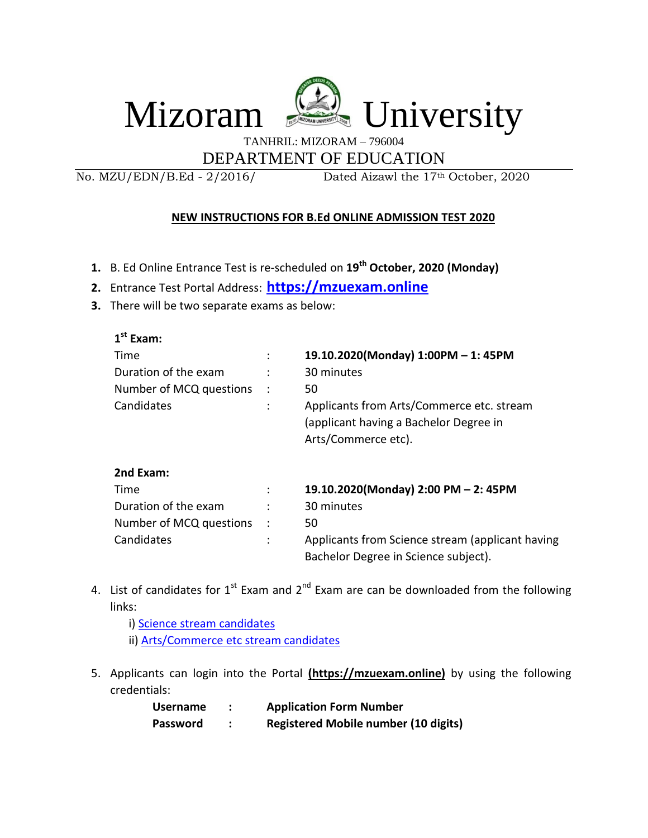

TANHRIL: MIZORAM – 796004

DEPARTMENT OF EDUCATION

No. MZU/EDN/B.Ed - 2/2016/ Dated Aizawl the 17th October, 2020

## **NEW INSTRUCTIONS FOR B.Ed ONLINE ADMISSION TEST 2020**

- **1.** B. Ed Online Entrance Test is re-scheduled on **19th October, 2020 (Monday)**
- **2.** Entrance Test Portal Address: **[https://mzuexam.online](https://mzuexam.online/)**
- **3.** There will be two separate exams as below:

| $1st$ Exam:             |                |                                                                                                            |
|-------------------------|----------------|------------------------------------------------------------------------------------------------------------|
| Time                    | :              | 19.10.2020(Monday) 1:00PM - 1:45PM                                                                         |
| Duration of the exam    |                | 30 minutes                                                                                                 |
| Number of MCQ questions | $\ddot{\cdot}$ | 50                                                                                                         |
| Candidates              | $\ddot{\cdot}$ | Applicants from Arts/Commerce etc. stream<br>(applicant having a Bachelor Degree in<br>Arts/Commerce etc). |
| 2nd Exam:               |                |                                                                                                            |
| Time                    | ٠<br>$\cdot$   | 19.10.2020(Monday) 2:00 PM - 2: 45PM                                                                       |
| Duration of the exam    | $\bullet$      | 30 minutes                                                                                                 |
| Number of MCQ questions | $\ddot{\cdot}$ | 50                                                                                                         |
| Candidates              | ÷              | Applicants from Science stream (applicant having<br>Bachelor Degree in Science subject).                   |

- 4. List of candidates for  $1^{st}$  Exam and  $2^{nd}$  Exam are can be downloaded from the following links:
	- i[\) Science stream](https://mzu.edu.in/wp-content/uploads/2020/10/CandidatesList_Science.pdf) candidates
	- ii) [Arts/Commerce etc stream candidates](https://mzu.edu.in/wp-content/uploads/2020/10/CandidatesList_Arts_Commerce.pdf)
- 5. Applicants can login into the Portal **(https://mzuexam.online)** by using the following credentials:

| <b>Username</b> | <b>Application Form Number</b>              |
|-----------------|---------------------------------------------|
| <b>Password</b> | <b>Registered Mobile number (10 digits)</b> |